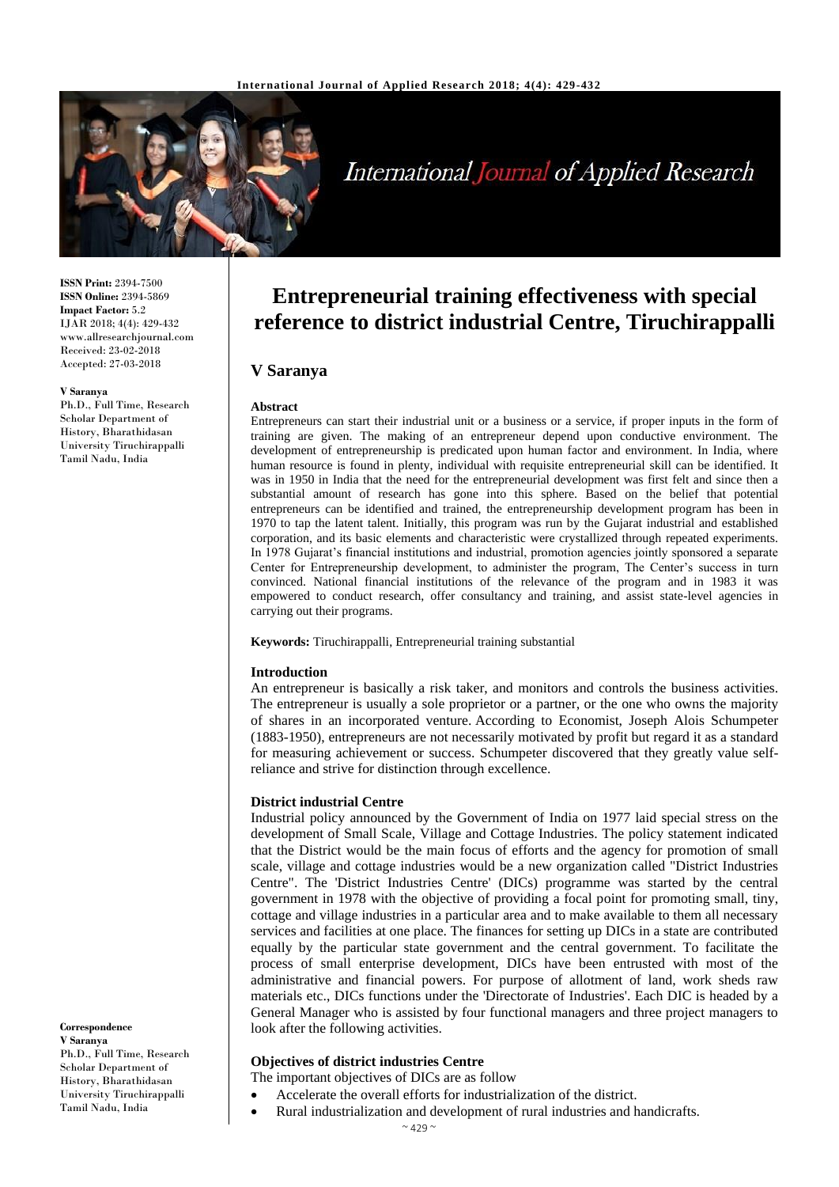

# **International Journal of Applied Research**

**ISSN Print:** 2394-7500 **ISSN Online:** 2394-5869 **Impact Factor:** 5.2 IJAR 2018; 4(4): 429-432 www.allresearchjournal.com Received: 23-02-2018 Accepted: 27-03-2018

#### **V Saranya**

Scholar Department of History, Bharathidasan University Tiruchirappalli Tamil Nadu, India

Ph.D., Full Time, Research

**Correspondence V Saranya**

Ph.D., Full Time, Research Scholar Department of History, Bharathidasan University Tiruchirappalli Tamil Nadu, India

# **Entrepreneurial training effectiveness with special reference to district industrial Centre, Tiruchirappalli**

# **V Saranya**

#### **Abstract**

Entrepreneurs can start their industrial unit or a business or a service, if proper inputs in the form of training are given. The making of an entrepreneur depend upon conductive environment. The development of entrepreneurship is predicated upon human factor and environment. In India, where human resource is found in plenty, individual with requisite entrepreneurial skill can be identified. It was in 1950 in India that the need for the entrepreneurial development was first felt and since then a substantial amount of research has gone into this sphere. Based on the belief that potential entrepreneurs can be identified and trained, the entrepreneurship development program has been in 1970 to tap the latent talent. Initially, this program was run by the Gujarat industrial and established corporation, and its basic elements and characteristic were crystallized through repeated experiments. In 1978 Gujarat's financial institutions and industrial, promotion agencies jointly sponsored a separate Center for Entrepreneurship development, to administer the program, The Center's success in turn convinced. National financial institutions of the relevance of the program and in 1983 it was empowered to conduct research, offer consultancy and training, and assist state-level agencies in carrying out their programs.

**Keywords:** Tiruchirappalli, Entrepreneurial training substantial

#### **Introduction**

An entrepreneur is basically a risk taker, and monitors and controls the business activities. The entrepreneur is usually a sole proprietor or a partner, or the one who owns the majority of shares in an incorporated venture. According to Economist, Joseph Alois Schumpeter (1883-1950), entrepreneurs are not necessarily motivated by profit but regard it as a standard for measuring achievement or success. Schumpeter discovered that they greatly value selfreliance and strive for distinction through excellence.

#### **District industrial Centre**

Industrial policy announced by the Government of India on 1977 laid special stress on the development of Small Scale, Village and Cottage Industries. The policy statement indicated that the District would be the main focus of efforts and the agency for promotion of small scale, village and cottage industries would be a new organization called "District Industries Centre". The 'District Industries Centre' (DICs) programme was started by the central government in 1978 with the objective of providing a focal point for promoting small, tiny, cottage and village industries in a particular area and to make available to them all necessary services and facilities at one place. The finances for setting up DICs in a state are contributed equally by the particular state government and the central government. To facilitate the process of small enterprise development, DICs have been entrusted with most of the administrative and financial powers. For purpose of allotment of land, work sheds raw materials etc., DICs functions under the 'Directorate of Industries'. Each DIC is headed by a General Manager who is assisted by four functional managers and three project managers to look after the following activities.

#### **Objectives of district industries Centre**

The important objectives of DICs are as follow

- Accelerate the overall efforts for industrialization of the district.
- Rural industrialization and development of rural industries and handicrafts.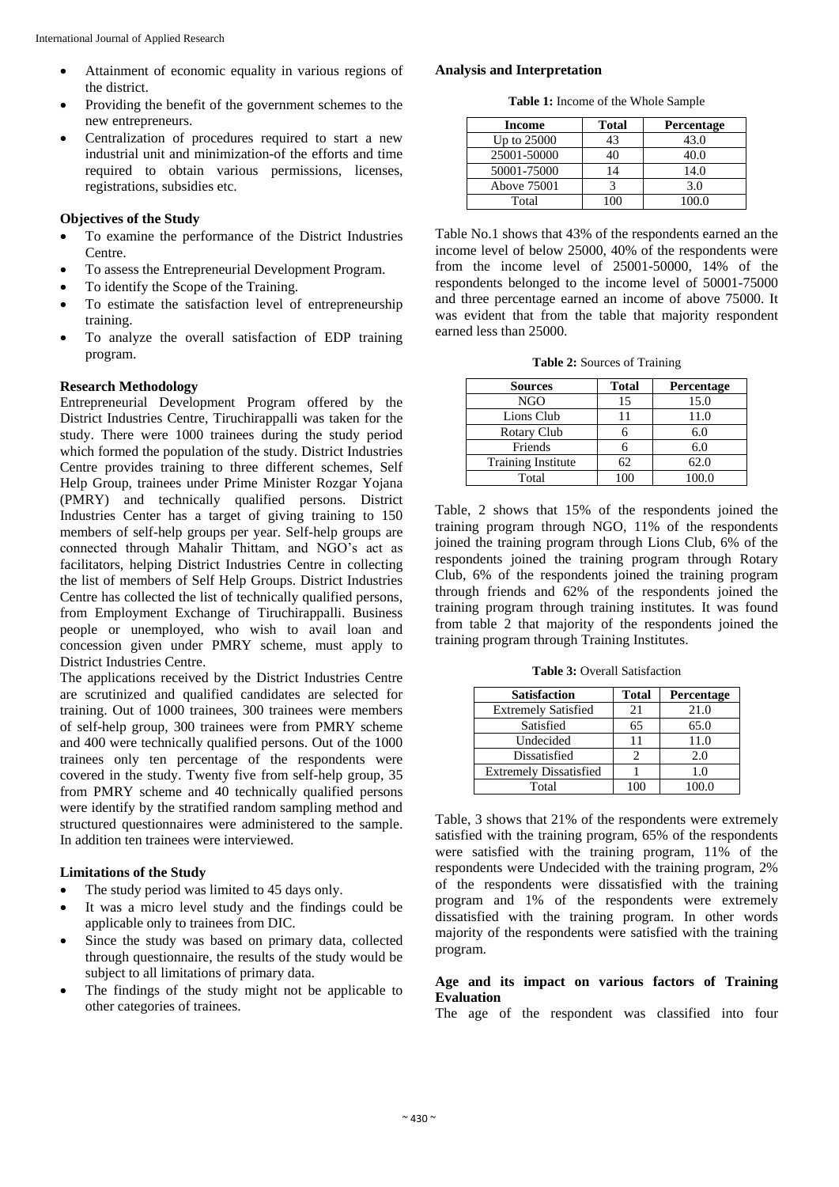- Attainment of economic equality in various regions of the district.
- Providing the benefit of the government schemes to the new entrepreneurs.
- Centralization of procedures required to start a new industrial unit and minimization-of the efforts and time required to obtain various permissions, licenses, registrations, subsidies etc.

#### **Objectives of the Study**

- To examine the performance of the District Industries Centre.
- To assess the Entrepreneurial Development Program.
- To identify the Scope of the Training.
- To estimate the satisfaction level of entrepreneurship training.
- To analyze the overall satisfaction of EDP training program.

#### **Research Methodology**

Entrepreneurial Development Program offered by the District Industries Centre, Tiruchirappalli was taken for the study. There were 1000 trainees during the study period which formed the population of the study. District Industries Centre provides training to three different schemes, Self Help Group, trainees under Prime Minister Rozgar Yojana (PMRY) and technically qualified persons. District Industries Center has a target of giving training to 150 members of self-help groups per year. Self-help groups are connected through Mahalir Thittam, and NGO's act as facilitators, helping District Industries Centre in collecting the list of members of Self Help Groups. District Industries Centre has collected the list of technically qualified persons, from Employment Exchange of Tiruchirappalli. Business people or unemployed, who wish to avail loan and concession given under PMRY scheme, must apply to District Industries Centre.

The applications received by the District Industries Centre are scrutinized and qualified candidates are selected for training. Out of 1000 trainees, 300 trainees were members of self-help group, 300 trainees were from PMRY scheme and 400 were technically qualified persons. Out of the 1000 trainees only ten percentage of the respondents were covered in the study. Twenty five from self-help group, 35 from PMRY scheme and 40 technically qualified persons were identify by the stratified random sampling method and structured questionnaires were administered to the sample. In addition ten trainees were interviewed.

# **Limitations of the Study**

- The study period was limited to 45 days only.
- It was a micro level study and the findings could be applicable only to trainees from DIC.
- Since the study was based on primary data, collected through questionnaire, the results of the study would be subject to all limitations of primary data.
- The findings of the study might not be applicable to other categories of trainees.

#### **Analysis and Interpretation**

**Table 1:** Income of the Whole Sample

| Income      | <b>Total</b> | <b>Percentage</b> |
|-------------|--------------|-------------------|
| Up to 25000 | 43           | 43.0              |
| 25001-50000 |              | 40.0              |
| 50001-75000 | 14           | 14.0              |
| Above 75001 |              | 3.0               |
| Total       |              | 100 O             |

Table No.1 shows that 43% of the respondents earned an the income level of below 25000, 40% of the respondents were from the income level of 25001-50000, 14% of the respondents belonged to the income level of 50001-75000 and three percentage earned an income of above 75000. It was evident that from the table that majority respondent earned less than 25000.

**Table 2:** Sources of Training

| <b>Sources</b>     | <b>Total</b><br>Percentage |       |
|--------------------|----------------------------|-------|
| NGO                | 15                         | 15.0  |
| Lions Club         | 11                         | 11.0  |
| Rotary Club        |                            | 6.0   |
| Friends            |                            | 6.0   |
| Training Institute | 62.                        | 62.0  |
| Total              | 100                        | 100.0 |

Table, 2 shows that 15% of the respondents joined the training program through NGO, 11% of the respondents joined the training program through Lions Club, 6% of the respondents joined the training program through Rotary Club, 6% of the respondents joined the training program through friends and 62% of the respondents joined the training program through training institutes. It was found from table 2 that majority of the respondents joined the training program through Training Institutes.

**Table 3:** Overall Satisfaction

| <b>Satisfaction</b>           | <b>Total</b> | Percentage |  |
|-------------------------------|--------------|------------|--|
| <b>Extremely Satisfied</b>    | 21           | 21.0       |  |
| Satisfied                     | 65           | 65.0       |  |
| Undecided                     |              | 11.0       |  |
| Dissatisfied                  |              | 2.0        |  |
| <b>Extremely Dissatisfied</b> |              | 1.0        |  |
| Total                         |              | 100.0      |  |

Table, 3 shows that 21% of the respondents were extremely satisfied with the training program, 65% of the respondents were satisfied with the training program, 11% of the respondents were Undecided with the training program, 2% of the respondents were dissatisfied with the training program and 1% of the respondents were extremely dissatisfied with the training program. In other words majority of the respondents were satisfied with the training program.

#### **Age and its impact on various factors of Training Evaluation**

The age of the respondent was classified into four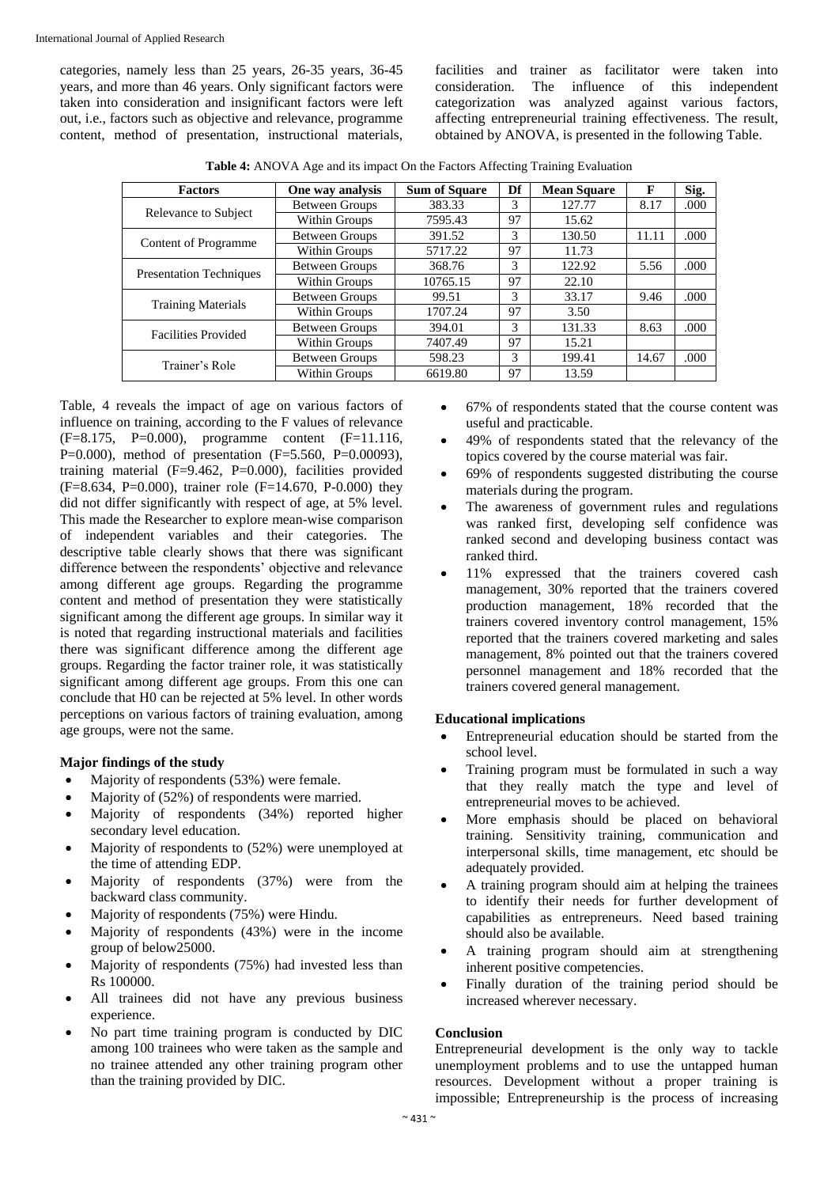categories, namely less than 25 years, 26-35 years, 36-45 years, and more than 46 years. Only significant factors were taken into consideration and insignificant factors were left out, i.e., factors such as objective and relevance, programme content, method of presentation, instructional materials, facilities and trainer as facilitator were taken into consideration. The influence of this independent categorization was analyzed against various factors, affecting entrepreneurial training effectiveness. The result, obtained by ANOVA, is presented in the following Table.

**Table 4:** ANOVA Age and its impact On the Factors Affecting Training Evaluation

| <b>Factors</b>                 | One way analysis      | <b>Sum of Square</b> | Df | <b>Mean Square</b> | F     | Sig.  |
|--------------------------------|-----------------------|----------------------|----|--------------------|-------|-------|
| Relevance to Subject           | <b>Between Groups</b> | 383.33               | 3  | 127.77             | 8.17  | .000  |
|                                | Within Groups         | 7595.43              | 97 | 15.62              |       |       |
| <b>Content of Programme</b>    | <b>Between Groups</b> | 391.52               | 3  | 130.50             | 11.11 | .000. |
|                                | Within Groups         | 5717.22              | 97 | 11.73              |       |       |
| <b>Presentation Techniques</b> | <b>Between Groups</b> | 368.76               | 3  | 122.92             | 5.56  | .000  |
|                                | Within Groups         | 10765.15             | 97 | 22.10              |       |       |
| <b>Training Materials</b>      | <b>Between Groups</b> | 99.51                | 3  | 33.17              | 9.46  | .000  |
|                                | Within Groups         | 1707.24              | 97 | 3.50               |       |       |
| <b>Facilities Provided</b>     | <b>Between Groups</b> | 394.01               | 3  | 131.33             | 8.63  | .000. |
|                                | Within Groups         | 7407.49              | 97 | 15.21              |       |       |
| Trainer's Role                 | <b>Between Groups</b> | 598.23               | 3  | 199.41             | 14.67 | .000  |
|                                | Within Groups         | 6619.80              | 97 | 13.59              |       |       |

Table, 4 reveals the impact of age on various factors of influence on training, according to the F values of relevance (F=8.175, P=0.000), programme content (F=11.116, P=0.000), method of presentation (F=5.560, P=0.00093), training material (F=9.462, P=0.000), facilities provided  $(F=8.634, P=0.000)$ , trainer role  $(F=14.670, P=0.000)$  they did not differ significantly with respect of age, at 5% level. This made the Researcher to explore mean-wise comparison of independent variables and their categories. The descriptive table clearly shows that there was significant difference between the respondents' objective and relevance among different age groups. Regarding the programme content and method of presentation they were statistically significant among the different age groups. In similar way it is noted that regarding instructional materials and facilities there was significant difference among the different age groups. Regarding the factor trainer role, it was statistically significant among different age groups. From this one can conclude that H0 can be rejected at 5% level. In other words perceptions on various factors of training evaluation, among age groups, were not the same.

# **Major findings of the study**

- Majority of respondents (53%) were female.
- Majority of (52%) of respondents were married.
- Majority of respondents (34%) reported higher secondary level education.
- Majority of respondents to (52%) were unemployed at the time of attending EDP.
- Majority of respondents (37%) were from the backward class community.
- Majority of respondents (75%) were Hindu.
- Majority of respondents (43%) were in the income group of below25000.
- Majority of respondents (75%) had invested less than Rs 100000.
- All trainees did not have any previous business experience.
- No part time training program is conducted by DIC among 100 trainees who were taken as the sample and no trainee attended any other training program other than the training provided by DIC.
- 67% of respondents stated that the course content was useful and practicable.
- 49% of respondents stated that the relevancy of the topics covered by the course material was fair.
- 69% of respondents suggested distributing the course materials during the program.
- The awareness of government rules and regulations was ranked first, developing self confidence was ranked second and developing business contact was ranked third.
- 11% expressed that the trainers covered cash management, 30% reported that the trainers covered production management, 18% recorded that the trainers covered inventory control management, 15% reported that the trainers covered marketing and sales management, 8% pointed out that the trainers covered personnel management and 18% recorded that the trainers covered general management.

#### **Educational implications**

- Entrepreneurial education should be started from the school level.
- Training program must be formulated in such a way that they really match the type and level of entrepreneurial moves to be achieved.
- More emphasis should be placed on behavioral training. Sensitivity training, communication and interpersonal skills, time management, etc should be adequately provided.
- A training program should aim at helping the trainees to identify their needs for further development of capabilities as entrepreneurs. Need based training should also be available.
- A training program should aim at strengthening inherent positive competencies.
- Finally duration of the training period should be increased wherever necessary.

#### **Conclusion**

Entrepreneurial development is the only way to tackle unemployment problems and to use the untapped human resources. Development without a proper training is impossible; Entrepreneurship is the process of increasing